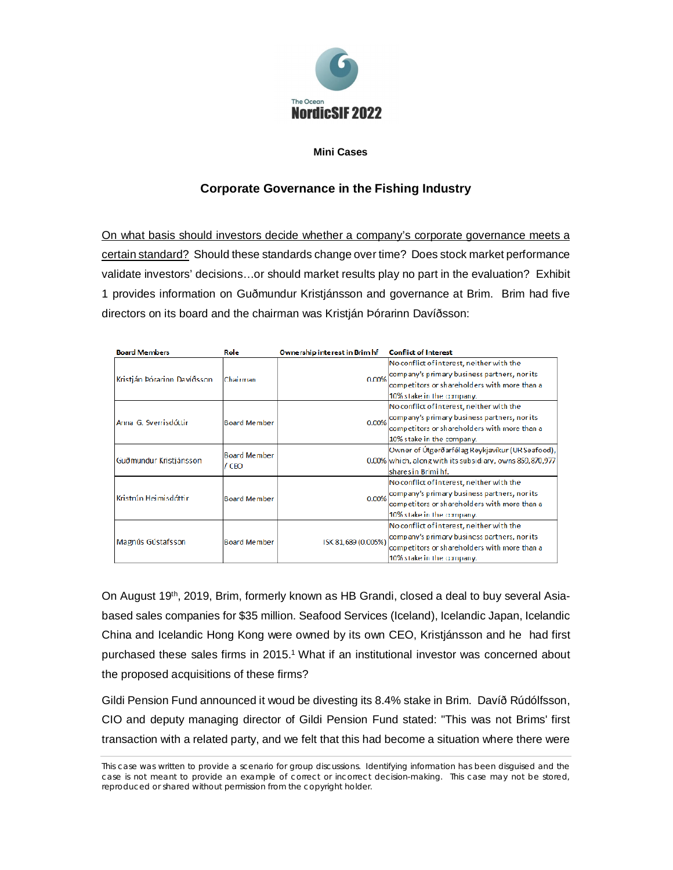

## **Mini Cases**

# **Corporate Governance in the Fishing Industry**

On what basis should investors decide whether a company's corporate governance meets a certain standard? Should these standards change over time? Does stock market performance validate investors' decisions…or should market results play no part in the evaluation? Exhibit 1 provides information on Guðmundur Kristjánsson and governance at Brim. Brim had five directors on its board and the chairman was Kristján Þórarinn Davíðsson:

| <b>Board Members</b>        | Role                         | Ownership interest in Brim hf | <b>Conflict of Interest</b>                              |  |  |
|-----------------------------|------------------------------|-------------------------------|----------------------------------------------------------|--|--|
|                             | lChairman                    | 0.00%                         | No conflict of interest, neither with the                |  |  |
| Kristján Þórarinn Davíðsson |                              |                               | company's primary business partners, nor its             |  |  |
|                             |                              |                               | competitors or shareholders with more than a             |  |  |
|                             |                              |                               | 10% stake in the company.                                |  |  |
| Anna G. Sverrisdóttir       | Board Member                 | 0.00%                         | No conflict of interest, neither with the                |  |  |
|                             |                              |                               | company's primary business partners, nor its             |  |  |
|                             |                              |                               | competitors or shareholders with more than a             |  |  |
|                             |                              |                               | 10% stake in the company.                                |  |  |
| Guðmundur Kristjánsson      | <b>Board Member</b><br>/ CEO |                               | Owner of Útgerðarfélag Reykjavíkur (UR Seafood),         |  |  |
|                             |                              |                               | 0.00% which, along with its subsidiary, owns 859,870,977 |  |  |
|                             |                              |                               | Íshares in Brimi hf.                                     |  |  |
| Kristrún Heimisdóttir.      | <b>Board Member</b>          | 0.00%                         | No conflict of interest, neither with the                |  |  |
|                             |                              |                               | company's primary business partners, nor its             |  |  |
|                             |                              |                               | competitors or shareholders with more than a             |  |  |
|                             |                              |                               | 10% stake in the company.                                |  |  |
| Magnús Gústafsson           | Board Member                 | ISK 81,689 (0.005%)           | No conflict of interest, neither with the                |  |  |
|                             |                              |                               | company's primary business partners, nor its             |  |  |
|                             |                              |                               | competitors or shareholders with more than a             |  |  |
|                             |                              |                               | 10% stake in the company.                                |  |  |

On August 19th, 2019, Brim, formerly known as HB Grandi, closed a deal to buy several Asiabased sales companies for \$35 million. Seafood Services (Iceland), Icelandic Japan, Icelandic China and Icelandic Hong Kong were owned by its own CEO, Kristjánsson and he had first purchased these sales firms in 2015.<sup>1</sup> What if an institutional investor was concerned about the proposed acquisitions of these firms?

Gildi Pension Fund announced it woud be divesting its 8.4% stake in Brim. Davíð Rúdólfsson, CIO and deputy managing director of Gildi Pension Fund stated: "This was not Brims' first transaction with a related party, and we felt that this had become a situation where there were

This case was written to provide a scenario for group discussions. Identifying information has been disguised and the case is not meant to provide an example of correct or incorrect decision-making. This case may not be stored, reproduced or shared without permission from the copyright holder.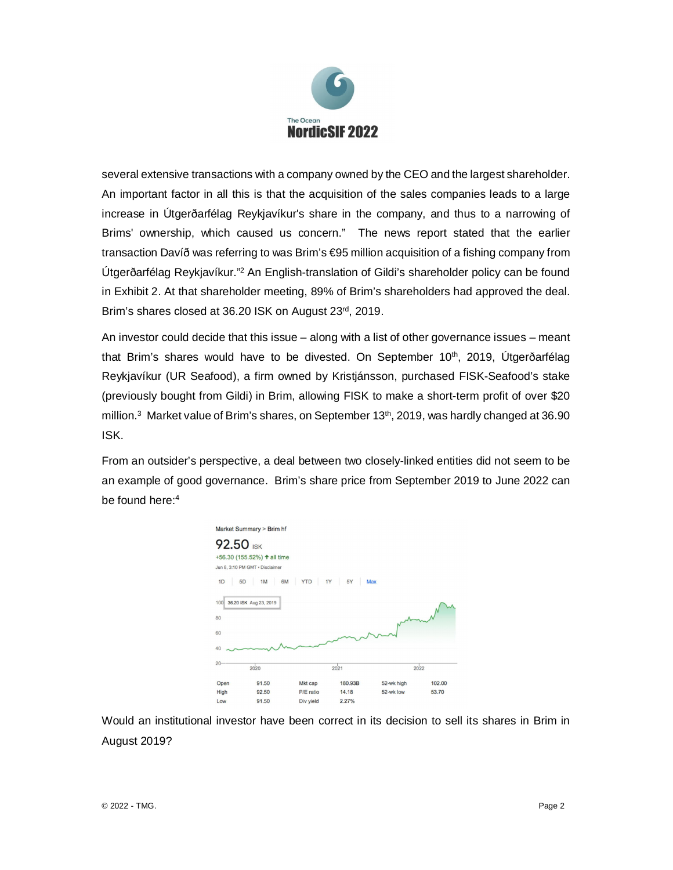

several extensive transactions with a company owned by the CEO and the largest shareholder. An important factor in all this is that the acquisition of the sales companies leads to a large increase in Útgerðarfélag Reykjavíkur's share in the company, and thus to a narrowing of Brims' ownership, which caused us concern." The news report stated that the earlier transaction Davíð was referring to was Brim's €95 million acquisition of a fishing company from Útgerðarfélag Reykjavíkur."<sup>2</sup> An English-translation of Gildi's shareholder policy can be found in Exhibit 2. At that shareholder meeting, 89% of Brim's shareholders had approved the deal. Brim's shares closed at 36.20 ISK on August 23rd, 2019.

An investor could decide that this issue – along with a list of other governance issues – meant that Brim's shares would have to be divested. On September 10<sup>th</sup>, 2019, Útgerðarfélag Reykjavíkur (UR Seafood), a firm owned by Kristjánsson, purchased FISK-Seafood's stake (previously bought from Gildi) in Brim, allowing FISK to make a short-term profit of over \$20 million.<sup>3</sup> Market value of Brim's shares, on September 13<sup>th</sup>, 2019, was hardly changed at 36.90 ISK.

From an outsider's perspective, a deal between two closely-linked entities did not seem to be an example of good governance. Brim's share price from September 2019 to June 2022 can be found here:<sup>4</sup>



Would an institutional investor have been correct in its decision to sell its shares in Brim in August 2019?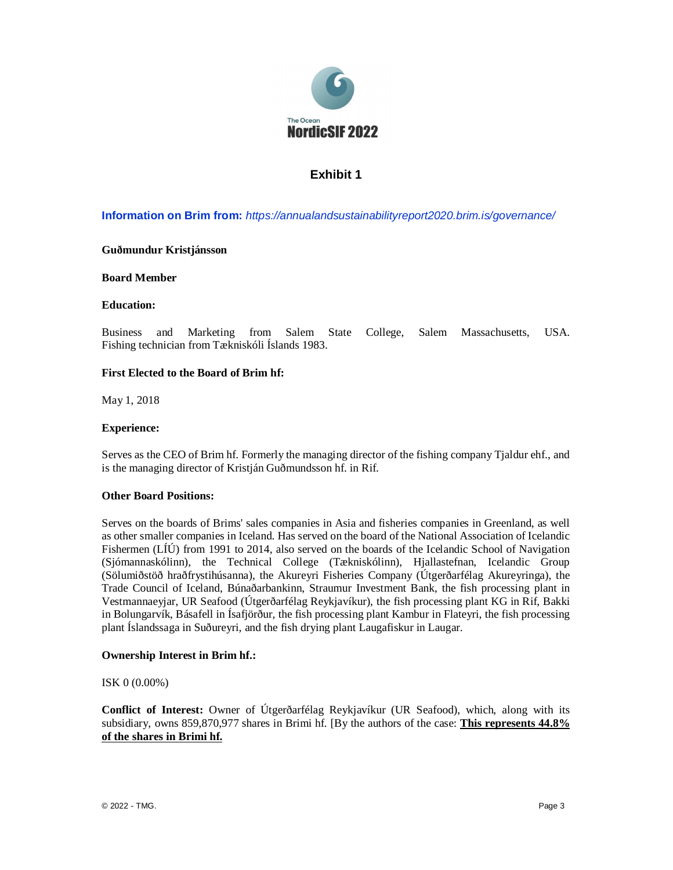

# **Exhibit 1**

**Information on Brim from:** *https://annualandsustainabilityreport2020.brim.is/governance/*

## **Guðmundur Kristjánsson**

## **Board Member**

## **Education:**

Business and Marketing from Salem State College, Salem Massachusetts, USA. Fishing technician from Tækniskóli Íslands 1983.

## **First Elected to the Board of Brim hf:**

May 1, 2018

## **Experience:**

Serves as the CEO of Brim hf. Formerly the managing director of the fishing company Tjaldur ehf., and is the managing director of Kristján Guðmundsson hf. in Rif.

### **Other Board Positions:**

Serves on the boards of Brims' sales companies in Asia and fisheries companies in Greenland, as well as other smaller companies in Iceland. Has served on the board of the National Association of Icelandic Fishermen (LÍÚ) from 1991 to 2014, also served on the boards of the Icelandic School of Navigation (Sjómannaskólinn), the Technical College (Tækniskólinn), Hjallastefnan, Icelandic Group (Sölumiðstöð hraðfrystihúsanna), the Akureyri Fisheries Company (Útgerðarfélag Akureyringa), the Trade Council of Iceland, Búnaðarbankinn, Straumur Investment Bank, the fish processing plant in Vestmannaeyjar, UR Seafood (Útgerðarfélag Reykjavíkur), the fish processing plant KG in Rif, Bakki in Bolungarvík, Básafell in Ísafjörður, the fish processing plant Kambur in Flateyri, the fish processing plant Íslandssaga in Suðureyri, and the fish drying plant Laugafiskur in Laugar.

### **Ownership Interest in Brim hf.:**

### ISK 0 (0.00%)

**Conflict of Interest:** Owner of Útgerðarfélag Reykjavíkur (UR Seafood), which, along with its subsidiary, owns 859,870,977 shares in Brimi hf. [By the authors of the case: **This represents 44.8% of the shares in Brimi hf.**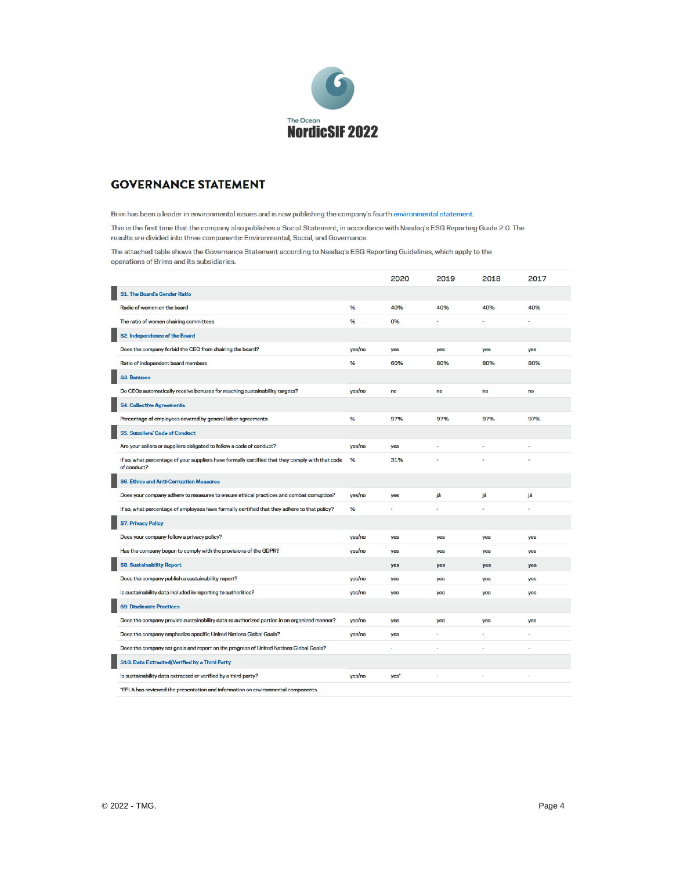

# **GOVERNANCE STATEMENT**

Brim has been a leader in environmental issues and is now publishing the company's fourth environmental statement.

This is the first time that the company also publishes a Social Statement, in accordance with Nasdaq's ESG Reporting Guide 2.0. The results are divided into three components: Environmental, Social, and Governance.

The attached table shows the Governance Statement according to Nasdaq's ESG Reporting Guidelines, which apply to the operations of Brims and its subsidiaries.

|                                                                                                                 |        | 2020 | 2019 | 2018 | 2017 |
|-----------------------------------------------------------------------------------------------------------------|--------|------|------|------|------|
| <b>S1. The Board's Gender Ratio</b>                                                                             |        |      |      |      |      |
| Radio of women on the board                                                                                     | %      | 40%  | 40%  | 40%  | 40%  |
| The ratio of women chairing committees                                                                          | %      | 0%   | ü    |      |      |
| S2. Independence of the Board                                                                                   |        |      |      |      |      |
| Does the company forbid the CEO from chairing the board?                                                        | yes/no | yes  | yes  | yes  | yes  |
| Ratio of independent board members                                                                              | %      | 60%  | 80%  | 80%  | 80%  |
| <b>S3. Bonuses</b>                                                                                              |        |      |      |      |      |
| Do CEOs automatically receive bonuses for reaching sustainability targets?                                      | yes/no | no   | no   | no   | no   |
| <b>S4. Collective Agreements</b>                                                                                |        |      |      |      |      |
| Percentage of employees covered by general labor agreements                                                     | %      | 97%  | 97%  | 97%  | 97%  |
| <b>S5. Suppliers' Code of Conduct</b>                                                                           |        |      |      |      |      |
| Are your sellers or suppliers obligated to follow a code of conduct?                                            | yes/no | yes  |      |      |      |
| If so, what percentage of your suppliers have formally certified that they comply with that code<br>of conduct? | %      | 31%  |      |      |      |
| <b>S6. Ethics and Anti-Corruption Measures</b>                                                                  |        |      |      |      |      |
| Does your company adhere to measures to ensure ethical practices and combat corruption?                         | yes/no | yes  | já   | já   | já   |
| If so, what percentage of employees have formally certified that they adhere to that policy?                    | %      | ×.   | i.   | ×.   | ¥    |
| <b>S7. Privacy Policy</b>                                                                                       |        |      |      |      |      |
| Does your company follow a privacy policy?                                                                      | yes/no | yes  | yes  | yes  | yes  |
| Has the company begun to comply with the provisions of the GDPR?                                                | yes/no | yes  | yes  | yes  | yes  |
| <b>S8. Sustainability Report</b>                                                                                |        | yes  | yes  | yes  | yes  |
| Does the company publish a sustainability report?                                                               | yes/no | yes  | yes  | yes  | yes  |
| Is sustainability data included in reporting to authorities?                                                    | yes/no | yes  | yes  | yes  | yes  |
| <b>S9. Disclosure Practices</b>                                                                                 |        |      |      |      |      |
| Does the company provide sustainability data to authorized parties in an organized manner?                      | yes/no | yes  | yes  | yes  | yes  |
| Does the company emphasize specific United Nations Global Goals?                                                | yes/no | yes  | ٠    | ÷    |      |
| Does the company set goals and report on the progress of United Nations Global Goals?                           |        |      | ÷    |      |      |
| S10. Data Extracted/Verified by a Third Party                                                                   |        |      |      |      |      |
| Is sustainability data extracted or verified by a third party?                                                  | yes/no | yes' |      |      |      |
| "FFI A has reviewed the presentation and information on environmental components                                |        |      |      |      |      |

"EFLA has reviewed the presentation and information on environmental components.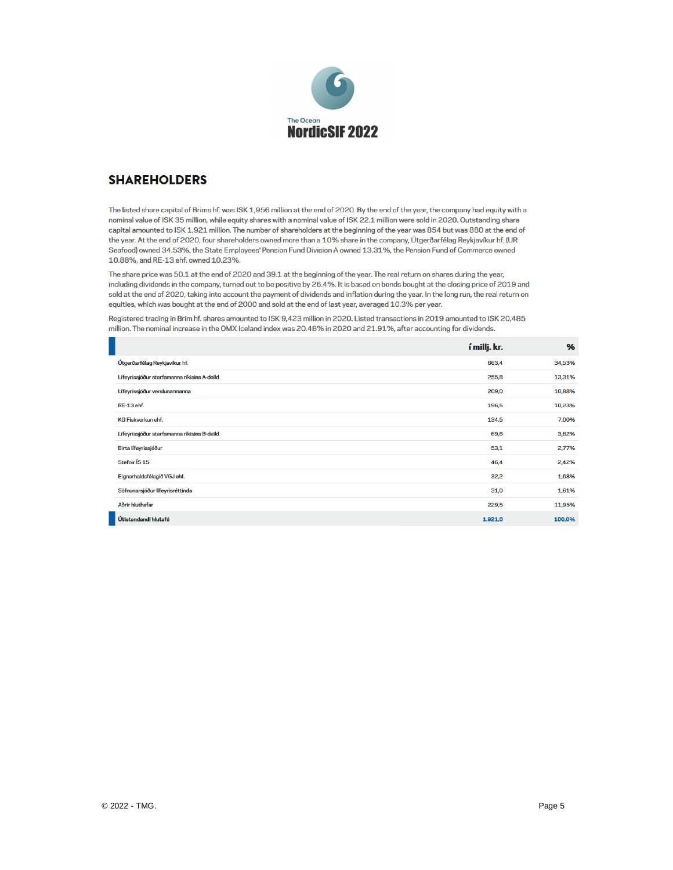

# **SHAREHOLDERS**

The listed share capital of Brims hf. was ISK 1,956 million at the end of 2020. By the end of the year, the company had equity with a nominal value of ISK 35 million, while equity shares with a nominal value of ISK 22.1 million were sold in 2020. Outstanding share capital amounted to ISK 1,921 million. The number of shareholders at the beginning of the year was 854 but was 880 at the end of the year. At the end of 2020, four shareholders owned more than a 10% share in the company, Útgerðarfélag Reykjavíkur hf. (UR Seafood) owned 34.53%, the State Employees' Pension Fund Division A owned 13.31%, the Pension Fund of Commerce owned 10.88%, and RE-13 ehf. owned 10.23%.

The share price was 50.1 at the end of 2020 and 39.1 at the beginning of the year. The real return on shares during the year, including dividends in the company, turned out to be positive by 26.4%. It is based on bonds bought at the closing price of 2019 and sold at the end of 2020, taking into account the payment of dividends and inflation during the year. In the long run, the real return on equities, which was bought at the end of 2000 and sold at the end of last year, averaged 10.3% per year.

Registered trading in Brim hf. shares amounted to ISK 9,423 million in 2020. Listed transactions in 2019 amounted to ISK 20,485 million. The nominal increase in the OMX Iceland index was 20.48% in 2020 and 21.91%, after accounting for dividends.

|                                             | í millj. kr. | %      |
|---------------------------------------------|--------------|--------|
| Útgerðarfélag Reykjavíkur hf.               | 663,4        | 34,53% |
| Lífeyrissjóður starfsmanna ríkisins A-deild | 255,8        | 13,31% |
| Lífeyrissjóður verslunarmanna               | 209,0        | 10,88% |
| <b>RE-13 ehf.</b>                           | 196,5        | 10,23% |
| <b>KG Fiskverkun ehf.</b>                   | 134,5        | 7,00%  |
| Lífeyrissjóður starfsmanna ríkisins B-deild | 69,6         | 3,62%  |
| Birta lífeyrissjóður                        | 53,1         | 2,77%  |
| Stefnir ÍS <sub>15</sub>                    | 46,4         | 2,42%  |
| Eignarhaldsfélagið VGJ ehf.                 | 32,2         | 1,68%  |
| Söfnunarsjóður lífeyrisréttinda             | 31,0         | 1,61%  |
| Aðrir hluthafar                             | 229,5        | 11,95% |
| Útistandandi hlutafé                        | 1.921,0      | 100,0% |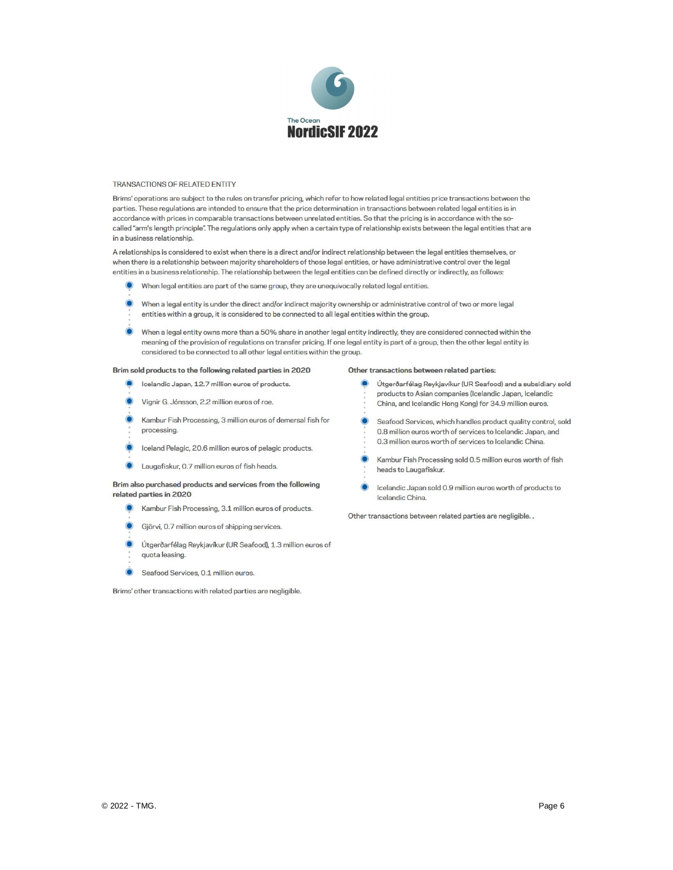

#### TRANSACTIONS OF RELATED ENTITY

Brims' operations are subject to the rules on transfer pricing, which refer to how related legal entities price transactions between the parties. These regulations are intended to ensure that the price determination in transactions between related legal entities is in accordance with prices in comparable transactions between unrelated entities. So that the pricing is in accordance with the socalled "arm's length principle". The regulations only apply when a certain type of relationship exists between the legal entities that are in a business relationship.

A relationships is considered to exist when there is a direct and/or indirect relationship between the legal entities themselves, or when there is a relationship between majority shareholders of those legal entities, or have administrative control over the legal entities in a business relationship. The relationship between the legal entities can be defined directly or indirectly, as follows:

- When legal entities are part of the same group, they are unequivocally related legal entities.
- When a legal entity is under the direct and/or indirect majority ownership or administrative control of two or more legal entities within a group, it is considered to be connected to all legal entities within the group.
- When a legal entity owns more than a 50% share in another legal entity indirectly, they are considered connected within the meaning of the provision of regulations on transfer pricing. If one legal entity is part of a group, then the other legal entity is considered to be connected to all other legal entities within the group.

#### Brim sold products to the following related parties in 2020

- Icelandic Japan, 12.7 million euros of products. D)
- Vignir G. Jónsson, 2.2 million euros of roe.
- Kambur Fish Processing, 3 million euros of demersal fish for processing.
- Iceland Pelagic, 20.6 million euros of pelagic products.
- Laugafiskur, 0.7 million euros of fish heads.

#### Brim also purchased products and services from the following related parties in 2020

- Kambur Fish Processing, 3.1 million euros of products.
- Gjörvi, 0.7 million euros of shipping services.
- Útgerðarfélag Reykjavíkur (UR Seafood), 1.3 million euros of quota leasing.
- Seafood Services, 0.1 million euros.

Brims' other transactions with related parties are negligible.

#### Other transactions between related parties:

- O Útgerðarfélag Reykjavíkur (UR Seafood) and a subsidiary sold products to Asian companies (Icelandic Japan, Icelandic China, and Icelandic Hong Kong) for 34.9 million euros.
- Seafood Services, which handles product quality control, sold 0.8 million euros worth of services to Icelandic Japan, and 0.3 million euros worth of services to Icelandic China.
- Kambur Fish Processing sold 0.5 million euros worth of fish heads to Laugafiskur.
- Icelandic Japan sold 0.9 million euros worth of products to Icelandic China.

Other transactions between related parties are negligible. .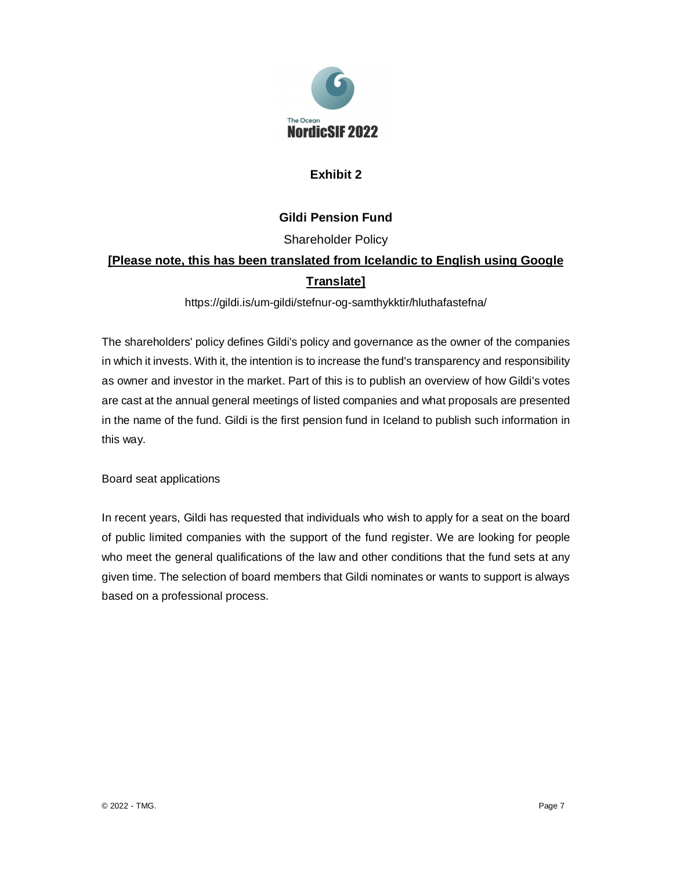

# **Exhibit 2**

# **Gildi Pension Fund**

Shareholder Policy

# **[Please note, this has been translated from Icelandic to English using Google Translate]**

https://gildi.is/um-gildi/stefnur-og-samthykktir/hluthafastefna/

The shareholders' policy defines Gildi's policy and governance as the owner of the companies in which it invests. With it, the intention is to increase the fund's transparency and responsibility as owner and investor in the market. Part of this is to publish an overview of how Gildi's votes are cast at the annual general meetings of listed companies and what proposals are presented in the name of the fund. Gildi is the first pension fund in Iceland to publish such information in this way.

Board seat applications

In recent years, Gildi has requested that individuals who wish to apply for a seat on the board of public limited companies with the support of the fund register. We are looking for people who meet the general qualifications of the law and other conditions that the fund sets at any given time. The selection of board members that Gildi nominates or wants to support is always based on a professional process.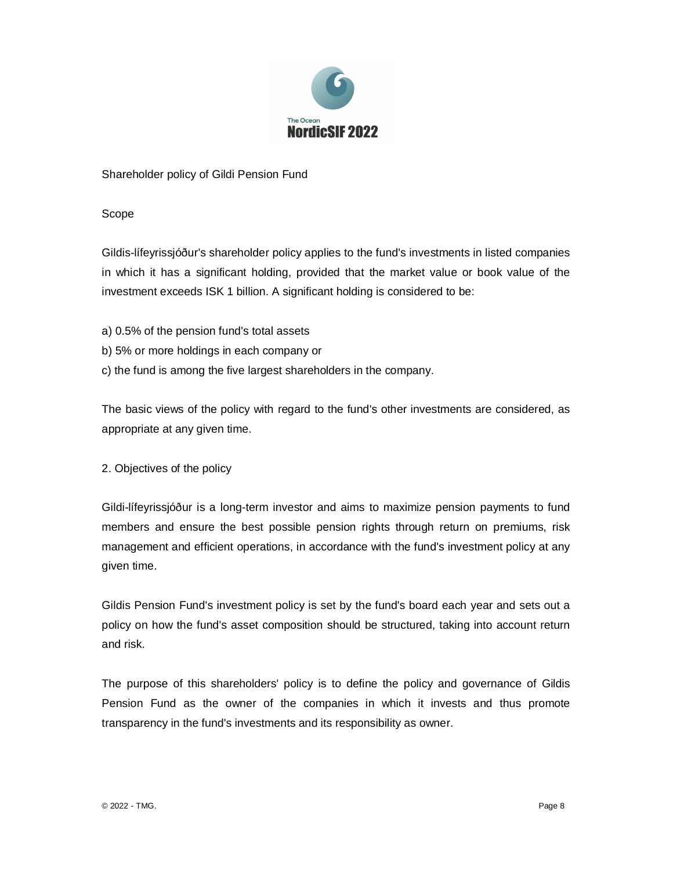

Shareholder policy of Gildi Pension Fund

Scope

Gildis-lífeyrissjóður's shareholder policy applies to the fund's investments in listed companies in which it has a significant holding, provided that the market value or book value of the investment exceeds ISK 1 billion. A significant holding is considered to be:

- a) 0.5% of the pension fund's total assets
- b) 5% or more holdings in each company or
- c) the fund is among the five largest shareholders in the company.

The basic views of the policy with regard to the fund's other investments are considered, as appropriate at any given time.

2. Objectives of the policy

Gildi-lífeyrissjóður is a long-term investor and aims to maximize pension payments to fund members and ensure the best possible pension rights through return on premiums, risk management and efficient operations, in accordance with the fund's investment policy at any given time.

Gildis Pension Fund's investment policy is set by the fund's board each year and sets out a policy on how the fund's asset composition should be structured, taking into account return and risk.

The purpose of this shareholders' policy is to define the policy and governance of Gildis Pension Fund as the owner of the companies in which it invests and thus promote transparency in the fund's investments and its responsibility as owner.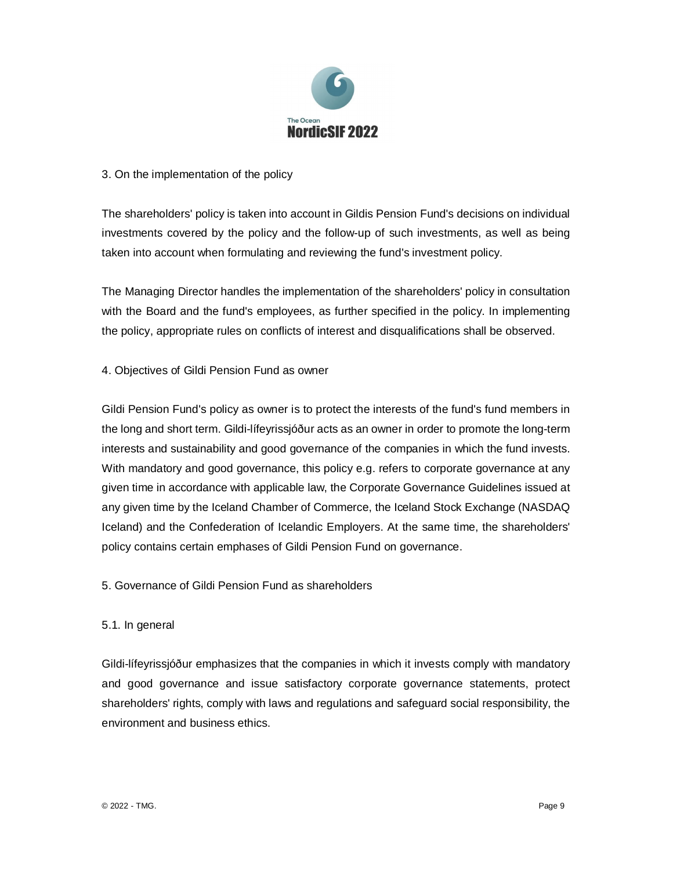

# 3. On the implementation of the policy

The shareholders' policy is taken into account in Gildis Pension Fund's decisions on individual investments covered by the policy and the follow-up of such investments, as well as being taken into account when formulating and reviewing the fund's investment policy.

The Managing Director handles the implementation of the shareholders' policy in consultation with the Board and the fund's employees, as further specified in the policy. In implementing the policy, appropriate rules on conflicts of interest and disqualifications shall be observed.

## 4. Objectives of Gildi Pension Fund as owner

Gildi Pension Fund's policy as owner is to protect the interests of the fund's fund members in the long and short term. Gildi-lífeyrissjóður acts as an owner in order to promote the long-term interests and sustainability and good governance of the companies in which the fund invests. With mandatory and good governance, this policy e.g. refers to corporate governance at any given time in accordance with applicable law, the Corporate Governance Guidelines issued at any given time by the Iceland Chamber of Commerce, the Iceland Stock Exchange (NASDAQ Iceland) and the Confederation of Icelandic Employers. At the same time, the shareholders' policy contains certain emphases of Gildi Pension Fund on governance.

## 5. Governance of Gildi Pension Fund as shareholders

## 5.1. In general

Gildi-lífeyrissjóður emphasizes that the companies in which it invests comply with mandatory and good governance and issue satisfactory corporate governance statements, protect shareholders' rights, comply with laws and regulations and safeguard social responsibility, the environment and business ethics.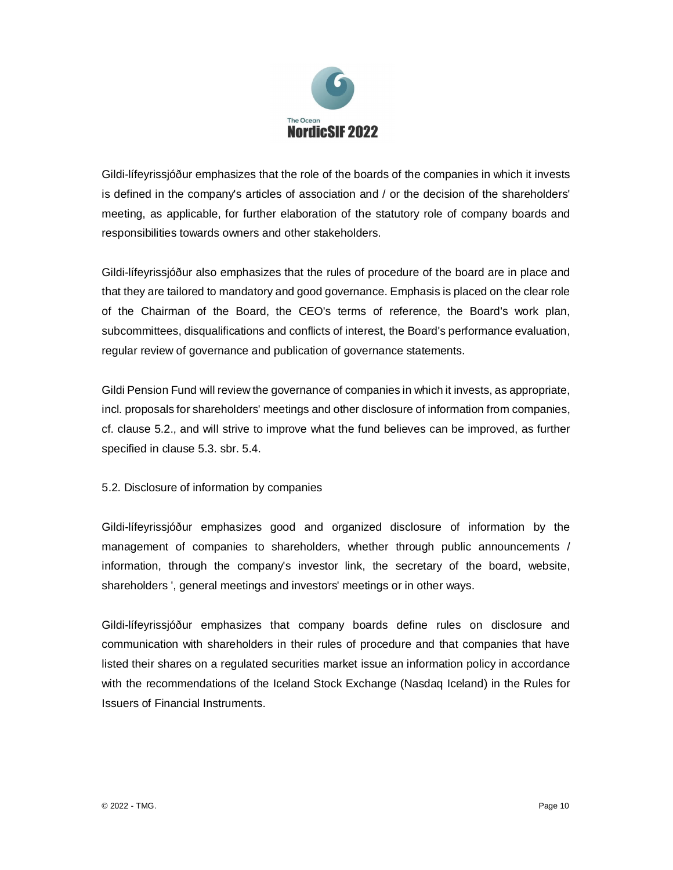

Gildi-lífeyrissjóður emphasizes that the role of the boards of the companies in which it invests is defined in the company's articles of association and / or the decision of the shareholders' meeting, as applicable, for further elaboration of the statutory role of company boards and responsibilities towards owners and other stakeholders.

Gildi-lífeyrissjóður also emphasizes that the rules of procedure of the board are in place and that they are tailored to mandatory and good governance. Emphasis is placed on the clear role of the Chairman of the Board, the CEO's terms of reference, the Board's work plan, subcommittees, disqualifications and conflicts of interest, the Board's performance evaluation, regular review of governance and publication of governance statements.

Gildi Pension Fund will review the governance of companies in which it invests, as appropriate, incl. proposals for shareholders' meetings and other disclosure of information from companies, cf. clause 5.2., and will strive to improve what the fund believes can be improved, as further specified in clause 5.3. sbr. 5.4.

## 5.2. Disclosure of information by companies

Gildi-lífeyrissjóður emphasizes good and organized disclosure of information by the management of companies to shareholders, whether through public announcements / information, through the company's investor link, the secretary of the board, website, shareholders ', general meetings and investors' meetings or in other ways.

Gildi-lífeyrissjóður emphasizes that company boards define rules on disclosure and communication with shareholders in their rules of procedure and that companies that have listed their shares on a regulated securities market issue an information policy in accordance with the recommendations of the Iceland Stock Exchange (Nasdaq Iceland) in the Rules for Issuers of Financial Instruments.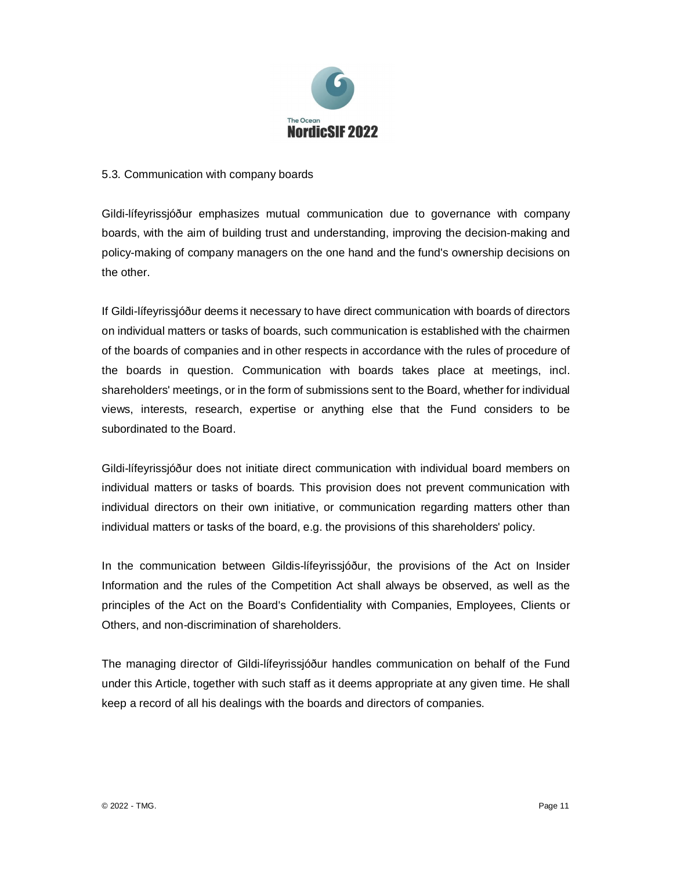

## 5.3. Communication with company boards

Gildi-lífeyrissjóður emphasizes mutual communication due to governance with company boards, with the aim of building trust and understanding, improving the decision-making and policy-making of company managers on the one hand and the fund's ownership decisions on the other.

If Gildi-lífeyrissjóður deems it necessary to have direct communication with boards of directors on individual matters or tasks of boards, such communication is established with the chairmen of the boards of companies and in other respects in accordance with the rules of procedure of the boards in question. Communication with boards takes place at meetings, incl. shareholders' meetings, or in the form of submissions sent to the Board, whether for individual views, interests, research, expertise or anything else that the Fund considers to be subordinated to the Board.

Gildi-lífeyrissjóður does not initiate direct communication with individual board members on individual matters or tasks of boards. This provision does not prevent communication with individual directors on their own initiative, or communication regarding matters other than individual matters or tasks of the board, e.g. the provisions of this shareholders' policy.

In the communication between Gildis-lífeyrissjóður, the provisions of the Act on Insider Information and the rules of the Competition Act shall always be observed, as well as the principles of the Act on the Board's Confidentiality with Companies, Employees, Clients or Others, and non-discrimination of shareholders.

The managing director of Gildi-lífeyrissjóður handles communication on behalf of the Fund under this Article, together with such staff as it deems appropriate at any given time. He shall keep a record of all his dealings with the boards and directors of companies.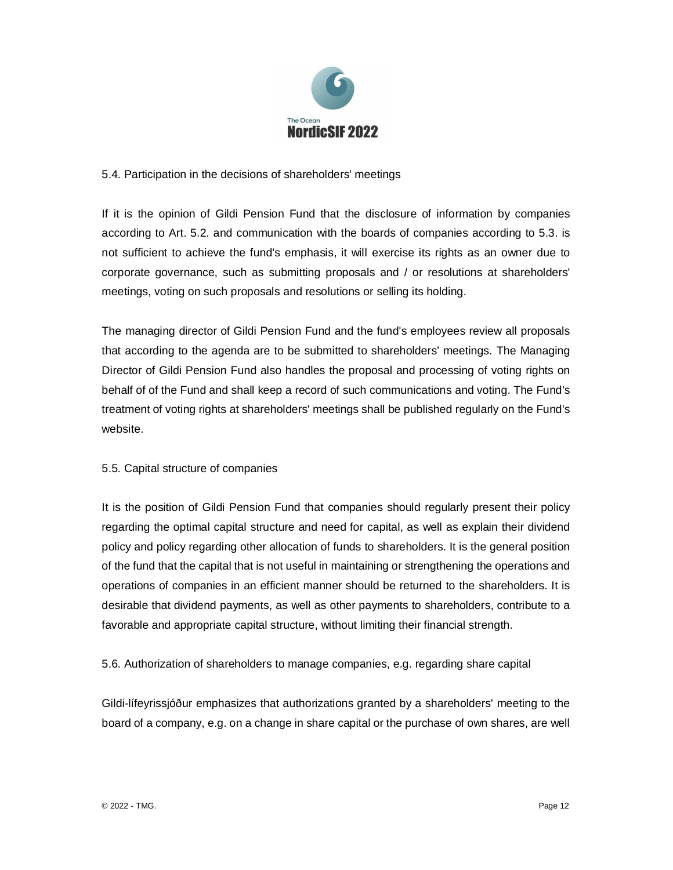

## 5.4. Participation in the decisions of shareholders' meetings

If it is the opinion of Gildi Pension Fund that the disclosure of information by companies according to Art. 5.2. and communication with the boards of companies according to 5.3. is not sufficient to achieve the fund's emphasis, it will exercise its rights as an owner due to corporate governance, such as submitting proposals and / or resolutions at shareholders' meetings, voting on such proposals and resolutions or selling its holding.

The managing director of Gildi Pension Fund and the fund's employees review all proposals that according to the agenda are to be submitted to shareholders' meetings. The Managing Director of Gildi Pension Fund also handles the proposal and processing of voting rights on behalf of of the Fund and shall keep a record of such communications and voting. The Fund's treatment of voting rights at shareholders' meetings shall be published regularly on the Fund's website.

# 5.5. Capital structure of companies

It is the position of Gildi Pension Fund that companies should regularly present their policy regarding the optimal capital structure and need for capital, as well as explain their dividend policy and policy regarding other allocation of funds to shareholders. It is the general position of the fund that the capital that is not useful in maintaining or strengthening the operations and operations of companies in an efficient manner should be returned to the shareholders. It is desirable that dividend payments, as well as other payments to shareholders, contribute to a favorable and appropriate capital structure, without limiting their financial strength.

5.6. Authorization of shareholders to manage companies, e.g. regarding share capital

Gildi-lífeyrissjóður emphasizes that authorizations granted by a shareholders' meeting to the board of a company, e.g. on a change in share capital or the purchase of own shares, are well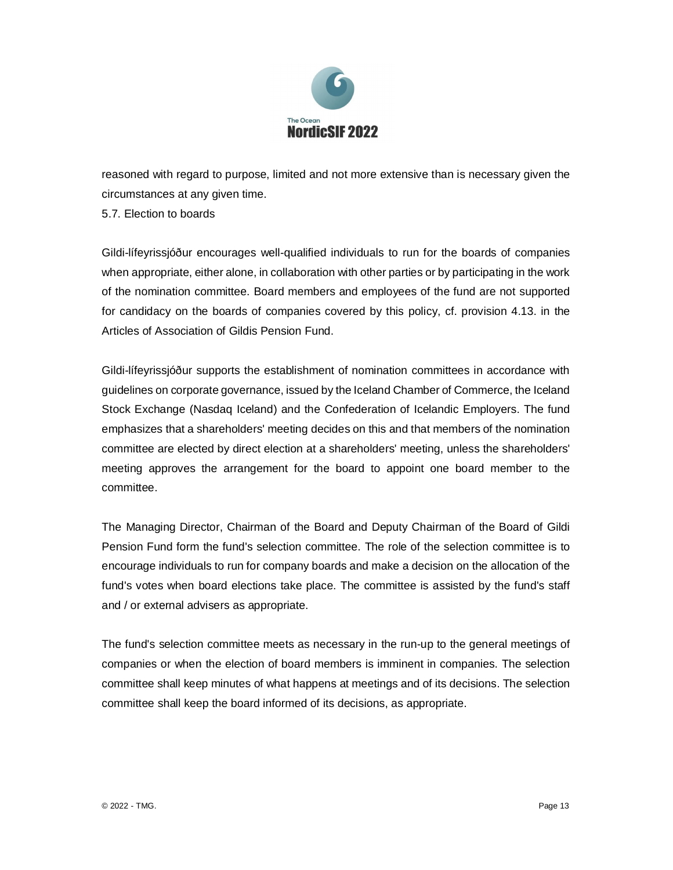

reasoned with regard to purpose, limited and not more extensive than is necessary given the circumstances at any given time.

5.7. Election to boards

Gildi-lífeyrissjóður encourages well-qualified individuals to run for the boards of companies when appropriate, either alone, in collaboration with other parties or by participating in the work of the nomination committee. Board members and employees of the fund are not supported for candidacy on the boards of companies covered by this policy, cf. provision 4.13. in the Articles of Association of Gildis Pension Fund.

Gildi-lífeyrissjóður supports the establishment of nomination committees in accordance with guidelines on corporate governance, issued by the Iceland Chamber of Commerce, the Iceland Stock Exchange (Nasdaq Iceland) and the Confederation of Icelandic Employers. The fund emphasizes that a shareholders' meeting decides on this and that members of the nomination committee are elected by direct election at a shareholders' meeting, unless the shareholders' meeting approves the arrangement for the board to appoint one board member to the committee.

The Managing Director, Chairman of the Board and Deputy Chairman of the Board of Gildi Pension Fund form the fund's selection committee. The role of the selection committee is to encourage individuals to run for company boards and make a decision on the allocation of the fund's votes when board elections take place. The committee is assisted by the fund's staff and / or external advisers as appropriate.

The fund's selection committee meets as necessary in the run-up to the general meetings of companies or when the election of board members is imminent in companies. The selection committee shall keep minutes of what happens at meetings and of its decisions. The selection committee shall keep the board informed of its decisions, as appropriate.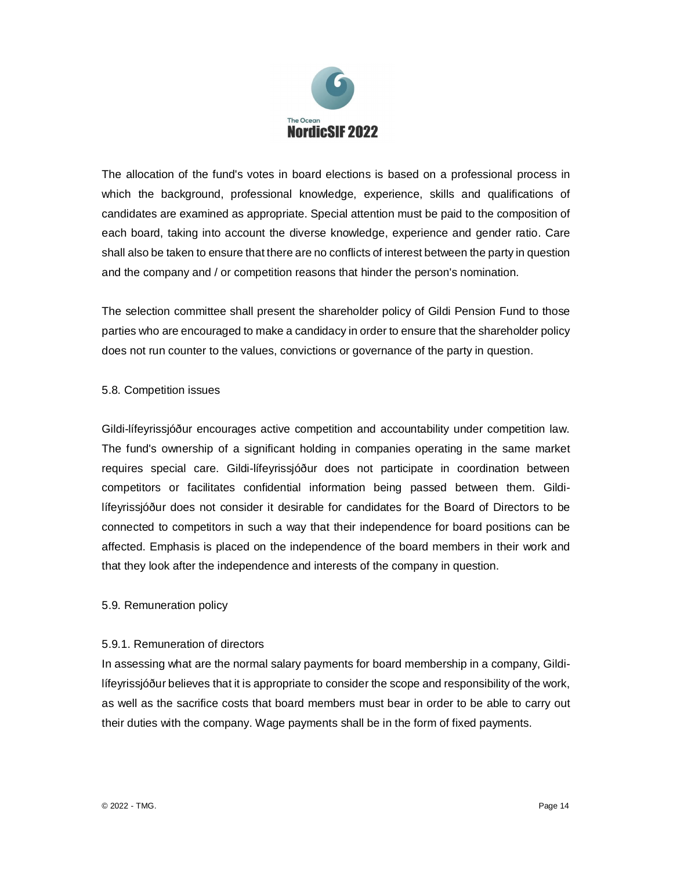

The allocation of the fund's votes in board elections is based on a professional process in which the background, professional knowledge, experience, skills and qualifications of candidates are examined as appropriate. Special attention must be paid to the composition of each board, taking into account the diverse knowledge, experience and gender ratio. Care shall also be taken to ensure that there are no conflicts of interest between the party in question and the company and / or competition reasons that hinder the person's nomination.

The selection committee shall present the shareholder policy of Gildi Pension Fund to those parties who are encouraged to make a candidacy in order to ensure that the shareholder policy does not run counter to the values, convictions or governance of the party in question.

## 5.8. Competition issues

Gildi-lífeyrissjóður encourages active competition and accountability under competition law. The fund's ownership of a significant holding in companies operating in the same market requires special care. Gildi-lífeyrissjóður does not participate in coordination between competitors or facilitates confidential information being passed between them. Gildilífeyrissjóður does not consider it desirable for candidates for the Board of Directors to be connected to competitors in such a way that their independence for board positions can be affected. Emphasis is placed on the independence of the board members in their work and that they look after the independence and interests of the company in question.

## 5.9. Remuneration policy

## 5.9.1. Remuneration of directors

In assessing what are the normal salary payments for board membership in a company, Gildilífeyrissjóður believes that it is appropriate to consider the scope and responsibility of the work, as well as the sacrifice costs that board members must bear in order to be able to carry out their duties with the company. Wage payments shall be in the form of fixed payments.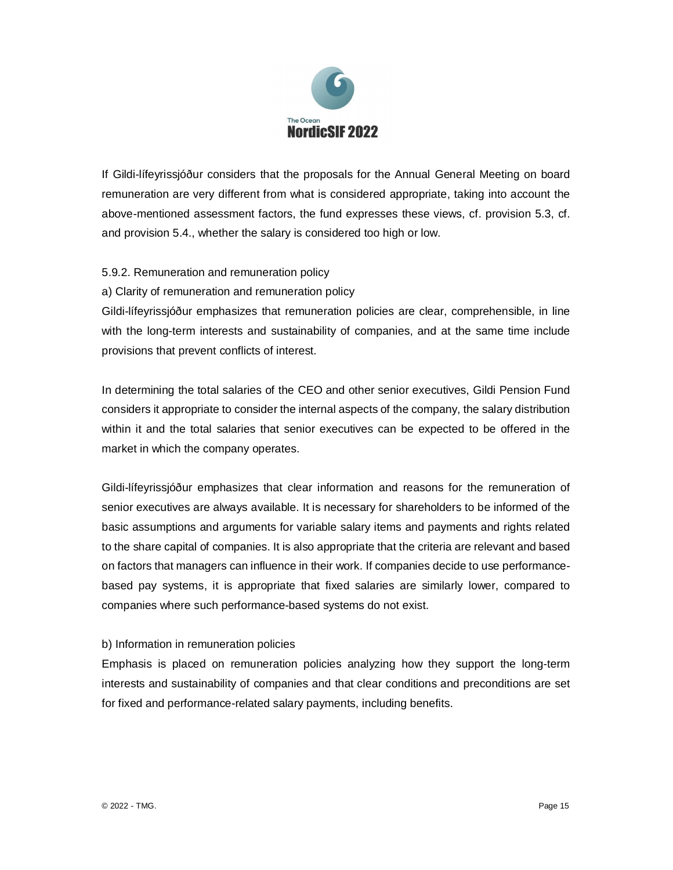

If Gildi-lífeyrissjóður considers that the proposals for the Annual General Meeting on board remuneration are very different from what is considered appropriate, taking into account the above-mentioned assessment factors, the fund expresses these views, cf. provision 5.3, cf. and provision 5.4., whether the salary is considered too high or low.

## 5.9.2. Remuneration and remuneration policy

a) Clarity of remuneration and remuneration policy

Gildi-lífeyrissjóður emphasizes that remuneration policies are clear, comprehensible, in line with the long-term interests and sustainability of companies, and at the same time include provisions that prevent conflicts of interest.

In determining the total salaries of the CEO and other senior executives, Gildi Pension Fund considers it appropriate to consider the internal aspects of the company, the salary distribution within it and the total salaries that senior executives can be expected to be offered in the market in which the company operates.

Gildi-lífeyrissjóður emphasizes that clear information and reasons for the remuneration of senior executives are always available. It is necessary for shareholders to be informed of the basic assumptions and arguments for variable salary items and payments and rights related to the share capital of companies. It is also appropriate that the criteria are relevant and based on factors that managers can influence in their work. If companies decide to use performancebased pay systems, it is appropriate that fixed salaries are similarly lower, compared to companies where such performance-based systems do not exist.

## b) Information in remuneration policies

Emphasis is placed on remuneration policies analyzing how they support the long-term interests and sustainability of companies and that clear conditions and preconditions are set for fixed and performance-related salary payments, including benefits.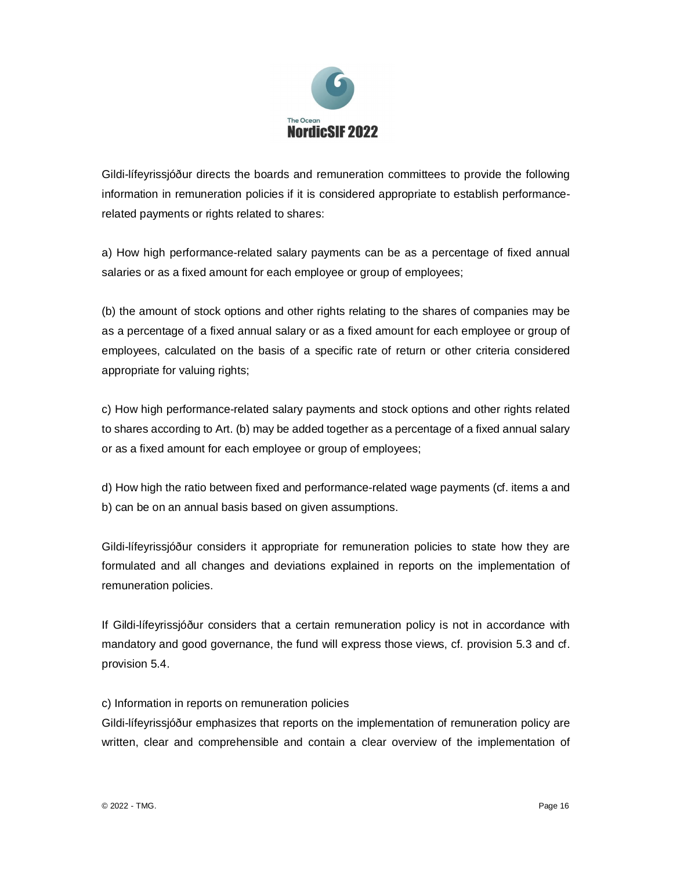

Gildi-lífeyrissjóður directs the boards and remuneration committees to provide the following information in remuneration policies if it is considered appropriate to establish performancerelated payments or rights related to shares:

a) How high performance-related salary payments can be as a percentage of fixed annual salaries or as a fixed amount for each employee or group of employees;

(b) the amount of stock options and other rights relating to the shares of companies may be as a percentage of a fixed annual salary or as a fixed amount for each employee or group of employees, calculated on the basis of a specific rate of return or other criteria considered appropriate for valuing rights;

c) How high performance-related salary payments and stock options and other rights related to shares according to Art. (b) may be added together as a percentage of a fixed annual salary or as a fixed amount for each employee or group of employees;

d) How high the ratio between fixed and performance-related wage payments (cf. items a and b) can be on an annual basis based on given assumptions.

Gildi-lífeyrissjóður considers it appropriate for remuneration policies to state how they are formulated and all changes and deviations explained in reports on the implementation of remuneration policies.

If Gildi-lífeyrissjóður considers that a certain remuneration policy is not in accordance with mandatory and good governance, the fund will express those views, cf. provision 5.3 and cf. provision 5.4.

c) Information in reports on remuneration policies

Gildi-lífeyrissjóður emphasizes that reports on the implementation of remuneration policy are written, clear and comprehensible and contain a clear overview of the implementation of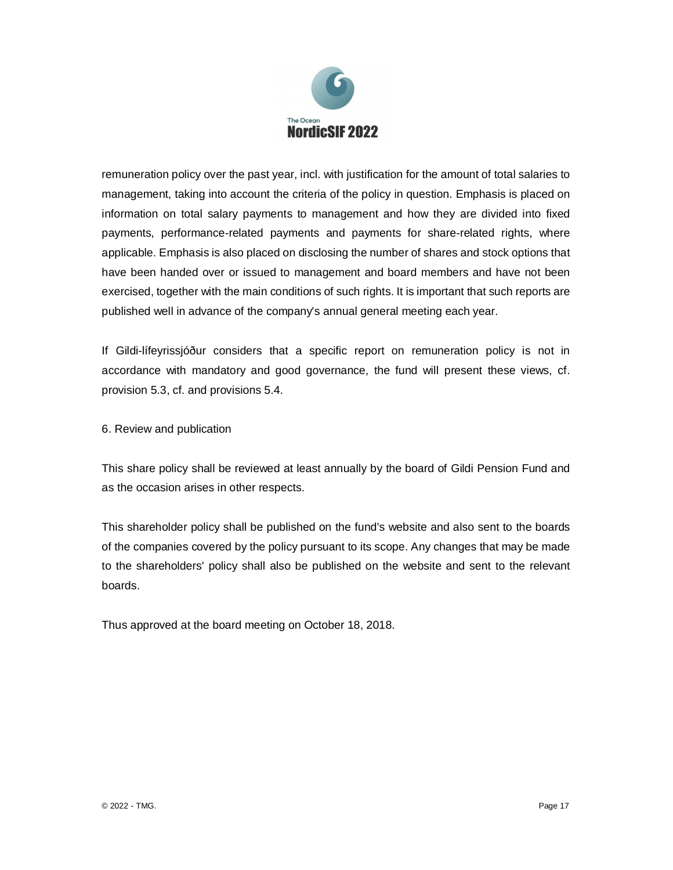

remuneration policy over the past year, incl. with justification for the amount of total salaries to management, taking into account the criteria of the policy in question. Emphasis is placed on information on total salary payments to management and how they are divided into fixed payments, performance-related payments and payments for share-related rights, where applicable. Emphasis is also placed on disclosing the number of shares and stock options that have been handed over or issued to management and board members and have not been exercised, together with the main conditions of such rights. It is important that such reports are published well in advance of the company's annual general meeting each year.

If Gildi-lífeyrissjóður considers that a specific report on remuneration policy is not in accordance with mandatory and good governance, the fund will present these views, cf. provision 5.3, cf. and provisions 5.4.

## 6. Review and publication

This share policy shall be reviewed at least annually by the board of Gildi Pension Fund and as the occasion arises in other respects.

This shareholder policy shall be published on the fund's website and also sent to the boards of the companies covered by the policy pursuant to its scope. Any changes that may be made to the shareholders' policy shall also be published on the website and sent to the relevant boards.

Thus approved at the board meeting on October 18, 2018.